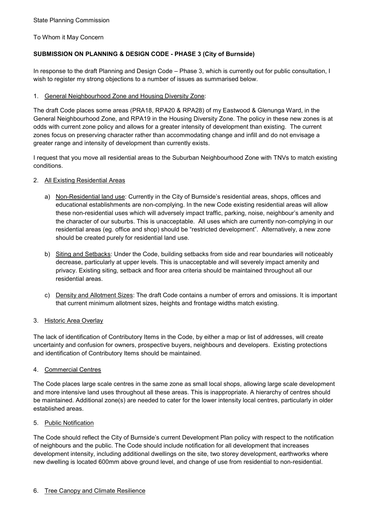To Whom it May Concern

# **SUBMISSION ON PLANNING & DESIGN CODE - PHASE 3 (City of Burnside)**

In response to the draft Planning and Design Code – Phase 3, which is currently out for public consultation, I wish to register my strong objections to a number of issues as summarised below.

## 1. General Neighbourhood Zone and Housing Diversity Zone:

The draft Code places some areas (PRA18, RPA20 & RPA28) of my Eastwood & Glenunga Ward, in the General Neighbourhood Zone, and RPA19 in the Housing Diversity Zone. The policy in these new zones is at odds with current zone policy and allows for a greater intensity of development than existing. The current zones focus on preserving character rather than accommodating change and infill and do not envisage a greater range and intensity of development than currently exists.

I request that you move all residential areas to the Suburban Neighbourhood Zone with TNVs to match existing conditions.

## 2. All Existing Residential Areas

- a) Non-Residential land use: Currently in the City of Burnside's residential areas, shops, offices and educational establishments are non-complying. In the new Code existing residential areas will allow these non-residential uses which will adversely impact traffic, parking, noise, neighbour's amenity and the character of our suburbs. This is unacceptable. All uses which are currently non-complying in our residential areas (eg. office and shop) should be "restricted development". Alternatively, a new zone should be created purely for residential land use.
- b) Siting and Setbacks: Under the Code, building setbacks from side and rear boundaries will noticeably decrease, particularly at upper levels. This is unacceptable and will severely impact amenity and privacy. Existing siting, setback and floor area criteria should be maintained throughout all our residential areas.
- c) Density and Allotment Sizes: The draft Code contains a number of errors and omissions. It is important that current minimum allotment sizes, heights and frontage widths match existing.

### 3. Historic Area Overlay

The lack of identification of Contributory Items in the Code, by either a map or list of addresses, will create uncertainty and confusion for owners, prospective buyers, neighbours and developers. Existing protections and identification of Contributory Items should be maintained.

# 4. Commercial Centres

The Code places large scale centres in the same zone as small local shops, allowing large scale development and more intensive land uses throughout all these areas. This is inappropriate. A hierarchy of centres should be maintained. Additional zone(s) are needed to cater for the lower intensity local centres, particularly in older established areas.

### 5. Public Notification

The Code should reflect the City of Burnside's current Development Plan policy with respect to the notification of neighbours and the public. The Code should include notification for all development that increases development intensity, including additional dwellings on the site, two storey development, earthworks where new dwelling is located 600mm above ground level, and change of use from residential to non-residential.